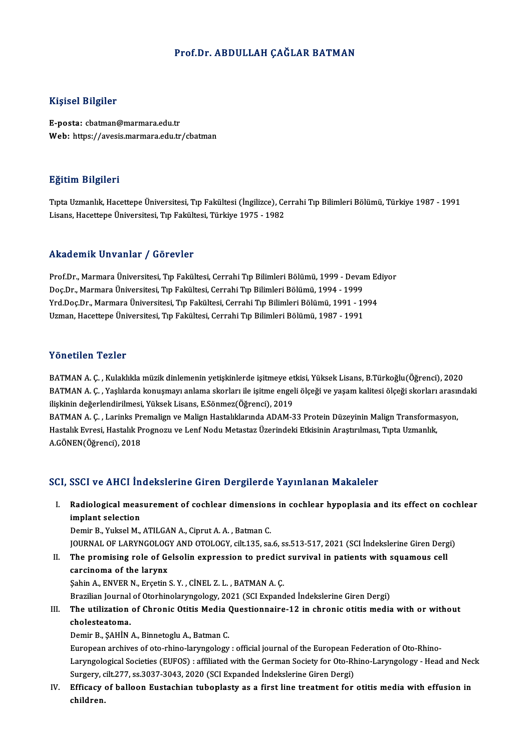### Prof.Dr. ABDULLAH CAĞLAR BATMAN

### Kişisel Bilgiler

E-posta: cbatman@marmara.edu.tr Web: https://avesis.marmara.edu.tr/cbatman

### Eğitim Bilgileri

**Eğitim Bilgileri**<br>Tıpta Uzmanlık, Hacettepe Üniversitesi, Tıp Fakültesi (İngilizce), Cerrahi Tıp Bilimleri Bölümü, Türkiye 1987 - 1991<br>Lisans, Hasettane Üniversitesi, Tın Fakültesi, Türkiye 1975 - 1992 Lisans, Largaroa<br>Tıpta Uzmanlık, Hacettepe Üniversitesi, Tıp Fakültesi (İngilizce), Ce<br>Lisans, Hacettepe Üniversitesi, Tıp Fakültesi, Türkiye 1975 - 1982 Lisans, Hacettepe Üniversitesi, Tıp Fakültesi, Türkiye 1975 - 1982<br>Akademik Unvanlar / Görevler

Akademik Unvanlar / Görevler<br>Prof.Dr., Marmara Üniversitesi, Tıp Fakültesi, Cerrahi Tıp Bilimleri Bölümü, 1999 - Devam Ediyor<br>Des.Dr., Marmara Üniversitesi, Tıp Fakültesi, Cerrahi Tıp Bilimleri Bölümü, 1994, 1999 rındu olirin Sirvaniar 7 dörevler<br>Prof.Dr., Marmara Üniversitesi, Tıp Fakültesi, Cerrahi Tıp Bilimleri Bölümü, 1999 - Devaı<br>Doç.Dr., Marmara Üniversitesi, Tıp Fakültesi, Cerrahi Tıp Bilimleri Bölümü, 1994 - 1999<br>Vrd Doc.Dr Prof.Dr., Marmara Üniversitesi, Tıp Fakültesi, Cerrahi Tıp Bilimleri Bölümü, 1999 - Devam Ec<br>Doç.Dr., Marmara Üniversitesi, Tıp Fakültesi, Cerrahi Tıp Bilimleri Bölümü, 1994 - 1999<br>Yrd.Doç.Dr., Marmara Üniversitesi, Tıp Fa Doç.Dr., Marmara Üniversitesi, Tıp Fakültesi, Cerrahi Tıp Bilimleri Bölümü, 1994 - 1999<br>Yrd.Doç.Dr., Marmara Üniversitesi, Tıp Fakültesi, Cerrahi Tıp Bilimleri Bölümü, 1991 - 1994<br>Uzman, Hacettepe Üniversitesi, Tıp Fakülte

### Yönetilen Tezler

BATMAN A. Ç., Kulaklıkla müzik dinlemenin yetişkinlerde işitmeye etkisi, Yüksek Lisans, B.Türkoğlu(Öğrenci), 2020 TONOCNON TONON<br>BATMAN A. Ç. , Kulaklıkla müzik dinlemenin yetişkinlerde işitmeye etkisi, Yüksek Lisans, B.Türkoğlu(Öğrenci), 2020<br>BATMAN A. Ç. , Yaşlılarda konuşmayı anlama skorları ile işitme engeli ölçeği ve yaşam kalite ilişkinin değerlendirilmesi, Yüksek Lisans, E.Sönmez(Öğrenci), 2019<br>BATMAN A. Ç. , Larinks Premalign ve Malign Hastalıklarında ADAM-33 Protein Düzeyinin Malign Transformasyon, BATMAN A. Ç. , Yaşlılarda konuşmayı anlama skorları ile işitme engeli ölçeği ve yaşam kalitesi ölçeği skorları arasın<br>ilişkinin değerlendirilmesi, Yüksek Lisans, E.Sönmez(Öğrenci), 2019<br>BATMAN A. Ç. , Larinks Premalign ve

ilişkinin değerlendirilmesi, Yüksek Lisans, E.Sönmez(Öğrenci), 2019<br>BATMAN A. Ç. , Larinks Premalign ve Malign Hastalıklarında ADAM-33 Protein Düzeyinin Malign Transforma<br>Hastalık Evresi, Hastalık Prognozu ve Lenf Nodu Met BATMAN A. Ç. , Larinks Pr<br>Hastalık Evresi, Hastalık Pı<br>A.GÖNEN(Öğrenci), 2018

# A.GÖNEN(Öğrenci), 2018<br>SCI, SSCI ve AHCI İndekslerine Giren Dergilerde Yayınlanan Makaleler

CI, SSCI ve AHCI İndekslerine Giren Dergilerde Yayınlanan Makaleler<br>I. Radiological measurement of cochlear dimensions in cochlear hypoplasia and its effect on cochlear<br>implant celestion book ve kindi in<br>Radiological meas<br>implant selection<br>Domin B. Vulral M implant selection<br>Demir B., Yuksel M., ATILGAN A., Ciprut A. A. , Batman C.

JOURNAL OF LARYNGOLOGY AND OTOLOGY, cilt.135, sa.6, ss.513-517, 2021 (SCI İndekslerine Giren Dergi)

Demir B., Yuksel M., ATILGAN A., Ciprut A. A. , Batman C.<br>JOURNAL OF LARYNGOLOGY AND OTOLOGY, cilt.135, sa.6, ss.513-517, 2021 (SCI İndekslerine Giren Der,<br>II. The promising role of Gelsolin expression to predict survival The promising role of Gelsolin expression to predict<br>carcinoma of the larynx<br>Şahin A., ENVER N., Erçetin S.Y. , CİNEL Z. L. , BATMAN A.Ç.<br>Prezilian Journal of Oterhinolarıngologu 2021 (SCL Expand

carcinoma of the larynx<br>Sahin A., ENVER N., Erçetin S. Y., CİNEL Z. L., BATMAN A. Ç.

Brazilian Journal of Otorhinolaryngology, 2021 (SCI Expanded İndekslerine Giren Dergi)

# Sahin A., ENVER N., Erçetin S. Y. , CİNEL Z. L. , BATMAN A. Ç.<br>Brazilian Journal of Otorhinolaryngology, 2021 (SCI Expanded İndekslerine Giren Dergi)<br>III. The utilization of Chronic Otitis Media Questionnaire-12 in chronic Brazilian Journal<br>The utilization<br>cholesteatoma.<br>Domir B. SAHİN The utilization of Chronic Otitis Media (<br>cholesteatoma.<br>Demir B., ŞAHİN A., Binnetoglu A., Batman C.<br>European archives of ete rhine larungelegu

cholesteatoma.<br>Demir B., ȘAHİN A., Binnetoglu A., Batman C.<br>European archives of oto-rhino-laryngology : official journal of the European Federation of Oto-Rhino-<br>Laryngological Societies (EUEOS) : offiliated with the Cerm Demir B., ŞAHİN A., Binnetoglu A., Batman C.<br>European archives of oto-rhino-laryngology : official journal of the European Federation of Oto-Rhino-Laryngological Societies (EUFOS) : affiliated with the German Society for O European archives of oto-rhino-laryngology : official journal of the European F<br>Laryngological Societies (EUFOS) : affiliated with the German Society for Oto-Rh<br>Surgery, cilt.277, ss.3037-3043, 2020 (SCI Expanded Indeksler Laryngological Societies (EUFOS) : affiliated with the German Society for Oto-Rhino-Laryngology - Head and Nec<br>Surgery, cilt.277, ss.3037-3043, 2020 (SCI Expanded Indekslerine Giren Dergi)<br>IV. Efficacy of balloon Eustachia

Surgery, c<br><mark>Efficacy</mark><br>children.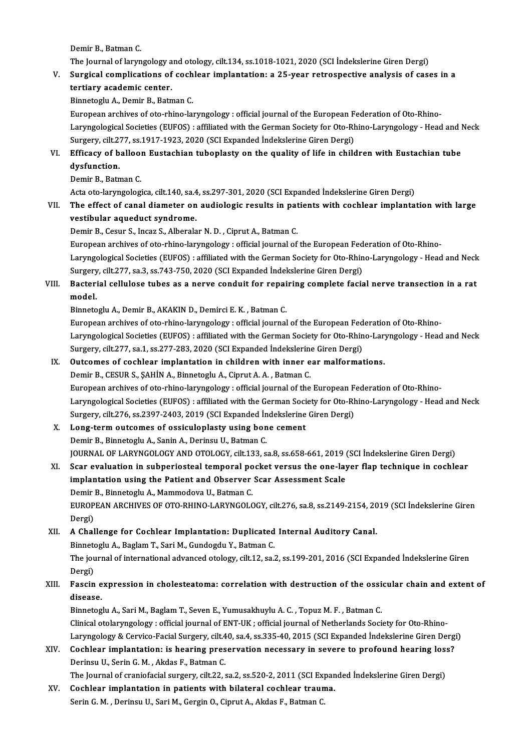Demir B., Batman C.

The Journal of laryngology and otology, cilt.134, ss.1018-1021, 2020 (SCI İndekslerine Giren Dergi)

# Demir B., Batman C.<br>The Journal of laryngology and otology, cilt.134, ss.1018-1021, 2020 (SCI Indekslerine Giren Dergi)<br>V. Surgical complications of cochlear implantation: a 25-year retrospective analysis of cases in a The Journal of laryngology a<br>Surgical complications of<br>tertiary academic center.<br>Binnstegly A. Domin B. Betn Surgical complications of coch<br>tertiary academic center.<br>Binnetoglu A., Demir B., Batman C.<br>European archives of ete rhine la:

tertiary academic center.<br>Binnetoglu A., Demir B., Batman C.<br>European archives of oto-rhino-laryngology : official journal of the European Federation of Oto-Rhino-Binnetoglu A., Demir B., Batman C.<br>European archives of oto-rhino-laryngology : official journal of the European Federation of Oto-Rhino-<br>Laryngological Societies (EUFOS) : affiliated with the German Society for Oto-Rhino-European archives of oto-rhino-laryngology : official journal of the European F<br>Laryngological Societies (EUFOS) : affiliated with the German Society for Oto-Rh<br>Surgery, cilt.277, ss.1917-1923, 2020 (SCI Expanded İndeksler Laryngological Societies (EUFOS) : affiliated with the German Society for Oto-Rhino-Laryngology - Head and l<br>Surgery, cilt.277, ss.1917-1923, 2020 (SCI Expanded Indekslerine Giren Dergi)<br>VI. Efficacy of balloon Eustachian

# Surgery, cilt.2"<br>Efficacy of b<br>dysfunction.<br>Domir B. Botn Efficacy of ballool<br>dysfunction.<br>Demir B., Batman C.<br>Asta ata larumsalasi

dysfunction.<br>Demir B., Batman C.<br>Acta oto-laryngologica, cilt.140, sa.4, ss.297-301, 2020 (SCI Expanded İndekslerine Giren Dergi)

# Demir B., Batman C.<br>Acta oto-laryngologica, cilt.140, sa.4, ss.297-301, 2020 (SCI Expanded Indekslerine Giren Dergi)<br>VII. The effect of canal diameter on audiologic results in patients with cochlear implantation with large vestibular aqueduct syndrome.<br>Demir B., Cesur S., Incaz S., Alberalar N. D., Ciprut A., Batman C. The effect of canal diameter on audiologic results in pat<br>vestibular aqueduct syndrome.<br>Demir B., Cesur S., Incaz S., Alberalar N. D. , Ciprut A., Batman C.<br>European archives of ete rhine larungelegy : official journal of

**vestibular aqueduct syndrome.<br>Demir B., Cesur S., Incaz S., Alberalar N. D. , Ciprut A., Batman C.<br>European archives of oto-rhino-laryngology : official journal of the European Federation of Oto-Rhino-<br>Laryngological Soci** Laryngological Societies (EUFOS) : affiliated with the German Society for Oto-Rhino-Laryngology - Head and Neck European archives of oto-rhino-laryngology : official journal of the European Fed<br>Laryngological Societies (EUFOS) : affiliated with the German Society for Oto-Rhin<br>Surgery, cilt.277, sa.3, ss.743-750, 2020 (SCI Expanded İ Laryngological Societies (EUFOS) : affiliated with the German Society for Oto-Rhino-Laryngology - Head and Neck<br>Surgery, cilt.277, sa.3, ss.743-750, 2020 (SCI Expanded Indekslerine Giren Dergi)<br>VIII. Bacterial cellulose tu

# Surgery, cilt.277, sa.3, ss.743-750, 2020 (SCI Expanded Indekslerine Giren Dergi)<br>Bacterial cellulose tubes as a nerve conduit for repairing complete facia<br>model.<br>Binnetoglu A., Demir B., AKAKIN D., Demirci E. K., Batman C Bacterial cellulose tubes as a nerve conduit for repai<br>model.<br>Binnetoglu A., Demir B., AKAKIN D., Demirci E. K. , Batman C.<br>European archives of ete rhine larungelegy : efficial journal

European archives of oto-rhino-laryngology : official journal of the European Federation of Oto-Rhino-Binnetoglu A., Demir B., AKAKIN D., Demirci E. K. , Batman C.<br>European archives of oto-rhino-laryngology : official journal of the European Federation of Oto-Rhino-<br>Laryngological Societies (EUFOS) : affiliated with the Ge European archives of oto-rhino-laryngology : official journal of the European Fed<br>Laryngological Societies (EUFOS) : affiliated with the German Society for Oto-Rhin<br>Surgery, cilt.277, sa.1, ss.277-283, 2020 (SCI Expanded İ Laryngological Societies (EUFOS) : affiliated with the German Society for Oto-Rhino-Lary<br>Surgery, cilt.277, sa.1, ss.277-283, 2020 (SCI Expanded Indekslerine Giren Dergi)<br>IX. Outcomes of cochlear implantation in children

# Surgery, cilt.277, sa.1, ss.277-283, 2020 (SCI Expanded Indekslerine Giren Dergi)<br>IX. Outcomes of cochlear implantation in children with inner ear malformations.<br>Demir B., CESUR S., SAHIN A., Binnetoglu A., Ciprut A. A., B

European archives of oto-rhino-laryngology : official journal of the European Federation of Oto-Rhino-Laryngological Societies (EUFOS) : affiliated with the German Society for Oto-Rhino-Laryngology - Head and Neck European archives of oto-rhino-laryngology : official journal of the European F<br>Laryngological Societies (EUFOS) : affiliated with the German Society for Oto-Rh<br>Surgery, cilt.276, ss.2397-2403, 2019 (SCI Expanded İndeksler Laryngological Societies (EUFOS) : affiliated with the German Soci<br>Surgery, cilt.276, ss.2397-2403, 2019 (SCI Expanded Indekslerine<br>X. Long-term outcomes of ossiculoplasty using bone cement<br>Domin B. Binnetoclu A. Sonin A.

# Surgery, cilt.276, ss.2397-2403, 2019 (SCI Expanded In<br>Long-term outcomes of ossiculoplasty using bon<br>Demir B., Binnetoglu A., Sanin A., Derinsu U., Batman C.<br>JOUPMAL OF LARYNCOLOCY AND OTOLOCY silt.133-3. Long-term outcomes of ossiculoplasty using bone cement<br>Demir B., Binnetoglu A., Sanin A., Derinsu U., Batman C.<br>JOURNAL OF LARYNGOLOGY AND OTOLOGY, cilt.133, sa.8, ss.658-661, 2019 (SCI İndekslerine Giren Dergi)<br>Sear evalu Demir B., Binnetoglu A., Sanin A., Derinsu U., Batman C.<br>JOURNAL OF LARYNGOLOGY AND OTOLOGY, cilt.133, sa.8, ss.658-661, 2019 (SCI İndekslerine Giren Dergi)<br>XI. Scar evaluation in subperiosteal temporal pocket versus the o

### JOURNAL OF LARYNGOLOGY AND OTOLOGY, cilt.133, sa.8, ss.658-661, 2019 (<br>Scar evaluation in subperiosteal temporal pocket versus the one-lay<br>implantation using the Patient and Observer Scar Assessment Scale<br>Domin B. Binnetoc XI. Scar evaluation in subperiosteal temporal pocket versus the one-layer flap technique in cochlear implantation using the Patient and Observer Scar Assessment Scale<br>Demir B., Binnetoglu A., Mammodova U., Batman C. EUROPEAN ARCHIVES OF OTO-RHINO-LARYNGOLOGY, cilt.276, sa.8, ss.2149-2154, 2019 (SCI İndekslerine Giren Dergi) EUROPEAN ARCHIVES OF OTO-RHINO-LARYNGOLOGY, cilt.276, sa.8, ss.2149-2154, 20<br>Dergi)<br>XII. A Challenge for Cochlear Implantation: Duplicated Internal Auditory Canal.

## Dergi)<br>A Challenge for Cochlear Implantation: Duplicated<br>Binnetoglu A., Baglam T., Sari M., Gundogdu Y., Batman C.<br>The journal of international advanced atelogy, silt 12, sa. The journal of international advanced otology, cilt.12, sa.2, ss.199-201, 2016 (SCI Expanded İndekslerine Giren<br>Dergi) Binnetoglu A., Baglam T., Sari M., Gundogdu Y., Batman C. The journal of international advanced otology, cilt.12, sa.2, ss.199-201, 2016 (SCI Expanded Indekslerine Giren<br>Dergi)<br>XIII. Fascin expression in cholesteatoma: correlation with destruction of the ossicular chain and exten

# Dergi)<br>Fascin e<br>disease. Fascin expression in cholesteatoma: correlation with destruction of the ossi<br>disease.<br>Binnetoglu A., Sari M., Baglam T., Seven E., Yumusakhuylu A. C. , Topuz M. F. , Batman C.<br>Clinical etalerungalegy : official journal of

disease.<br>Binnetoglu A., Sari M., Baglam T., Seven E., Yumusakhuylu A. C. , Topuz M. F. , Batman C.<br>Clinical otolaryngology : official journal of ENT-UK ; official journal of Netherlands Society for Oto-Rhino-Binnetoglu A., Sari M., Baglam T., Seven E., Yumusakhuylu A. C. , Topuz M. F. , Batman C.<br>Clinical otolaryngology : official journal of ENT-UK ; official journal of Netherlands Society for Oto-Rhino-<br>Laryngology & Cervico-Clinical otolaryngology : official journal of ENT-UK ; official journal of Netherlands Society for Oto-Rhino-<br>Laryngology & Cervico-Facial Surgery, cilt.40, sa.4, ss.335-40, 2015 (SCI Expanded İndekslerine Giren Derg<br>XIV.

## Laryngology & Cervico-Facial Surgery, cilt.4<br>Cochlear implantation: is hearing pres<br>Derinsu U., Serin G. M. , Akdas F., Batman C.<br>The Journal of graniafacial surgery, silt 22,4 Cochlear implantation: is hearing preservation necessary in severe to profound hearing los:<br>Derinsu U., Serin G. M. , Akdas F., Batman C.<br>The Journal of craniofacial surgery, cilt.22, sa.2, ss.520-2, 2011 (SCI Expanded Ind Derinsu U., Serin G. M. , Akdas F., Batman C.<br>The Journal of craniofacial surgery, cilt.22, sa.2, ss.520-2, 2011 (SCI Expanded Indekslerine Giren Dergi)<br>XV. Cochlear implantation in patients with bilateral cochlear trauma.

Serin G. M., Derinsu U., Sari M., Gergin O., Ciprut A., Akdas F., Batman C.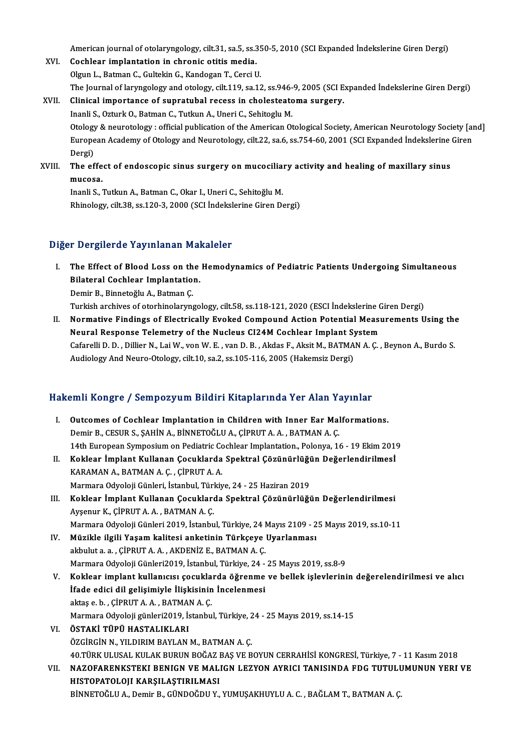American journal of otolaryngology, cilt.31, sa.5, ss.350-5, 2010 (SCI Expanded İndekslerine Giren Dergi)<br>Coshlear implentation in shronja etitis media

American journal of otolaryngology, cilt.31, sa.5, ss.3<br>XVI. Cochlear implantation in chronic otitis media.<br>Qlaun L. Betwen C. Cultelin C. Kandesen T. Corsi I. American journal of otolaryngology, cilt.31, sa.5, ss.35<br>Cochlear implantation in chronic otitis media.<br>Olgun L., Batman C., Gultekin G., Kandogan T., Cerci U.<br>The Journal of larungology and otology, cilt.110, so.13 The Journal of Indiana origion in chronic otitis media.<br>The Journal of laryngology and otology, cilt.119, sa.12, ss.946-9, 2005 (SCI Expanded İndekslerine Giren Dergi)<br>The Journal of laryngology and otology, cilt.119, sa.1 Olgun L., Batman C., Gultekin G., Kandogan T., Cerci U.<br>The Journal of laryngology and otology, cilt.119, sa.12, ss.946-9, 2005 (SCI E<br>XVII. Clinical importance of supratubal recess in cholesteatoma surgery.<br>Inapli S. Oztu The Journal of laryngology and otology, cilt.119, sa.12, ss.946-<br>Clinical importance of supratubal recess in cholesteate<br>Inanli S., Ozturk O., Batman C., Tutkun A., Uneri C., Sehitoglu M.<br>Otology & nouratelogy : official p

Clinical importance of supratubal recess in cholesteatoma surgery.<br>Inanli S., Ozturk O., Batman C., Tutkun A., Uneri C., Sehitoglu M.<br>Otology & neurotology : official publication of the American Otological Society, America Inanli S., Ozturk O., Batman C., Tutkun A., Uneri C., Sehitoglu M.<br>Otology & neurotology : official publication of the American Otological Society, American Neurotology Society [an<br>European Academy of Otology and Neurotolo Otology<br>Europe<br>Dergi)<br>The of European Academy of Otology and Neurotology, cilt.22, sa.6, ss.754-60, 2001 (SCI Expanded Indekslerine<br>Dergi)<br>XVIII. The effect of endoscopic sinus surgery on mucociliary activity and healing of maxillary sinus<br>musess.

Dergi)<br>The effe<br>mucosa.<br>Inanli S The effect of endoscopic sinus surgery on mucocilia:<br>mucosa.<br>Inanli S., Tutkun A., Batman C., Okar I., Uneri C., Sehitoğlu M.<br>Phinology silt 28, 88,120,2, 2000 (SCL Indokslarino Giron D.

mucosa.<br>Inanli S., Tutkun A., Batman C., Okar I., Uneri C., Sehitoğlu M.<br>Rhinology, cilt.38, ss.120-3, 2000 (SCI İndekslerine Giren Dergi)

### Diğer Dergilerde Yayınlanan Makaleler

Iger Dergilerde Yayınlanan Makaleler<br>I. The Effect of Blood Loss on the Hemodynamics of Pediatric Patients Undergoing Simultaneous<br>Rilateral Caphlear Implantation The Effect of Blood Loss on the<br>Bilateral Cochlear Implantation.<br>Domin B. Binnstağlu A. Betman C. The Effect of Blood Loss on th<br>Bilateral Cochlear Implantatio<br>Demir B., Binnetoğlu A., Batman Ç.<br>Turkish arshives of aterhinelarımı Bilateral Cochlear Implantation.<br>Demir B., Binnetoğlu A., Batman Ç.<br>Turkish archives of otorhinolaryngology, cilt.58, ss.118-121, 2020 (ESCI İndekslerine Giren Dergi)<br>Normative Eindings of Electricelly Eveked Compound Acti

Demir B., Binnetoğlu A., Batman Ç.<br>Turkish archives of otorhinolaryngology, cilt.58, ss.118-121, 2020 (ESCI İndekslerine Giren Dergi)<br>II. Normative Findings of Electrically Evoked Compound Action Potential Measurements Usi Turkish archives of otorhinolaryngology, cilt.58, ss.118-121, 2020 (ESCI İndekslerine C<br>Normative Findings of Electrically Evoked Compound Action Potential Measu<br>Neural Response Telemetry of the Nucleus CI24M Cochlear Impl Normative Findings of Electrically Evoked Compound Action Potential Measurements Using the<br>Neural Response Telemetry of the Nucleus CI24M Cochlear Implant System<br>Cafarelli D.D., Dillier N., Lai W., von W. E., van D. B., Ak Neural Response Telemetry of the Nucleus CI24M Cochlear Implant System<br>Cafarelli D. D. , Dillier N., Lai W., von W. E. , van D. B. , Akdas F., Aksit M., BATMAN A. Ç. , Beynon A., Burdo S.<br>Audiology And Neuro-Otology, cilt.

# Audiology And Neuro-Olology, Cit.10, sa.2, ss.105-116, 2005 (Hakemsiz Dergi)<br>Hakemli Kongre / Sempozyum Bildiri Kitaplarında Yer Alan Yayınlar

| Hakemli Kongre / Sempozyum Bildiri Kitaplarında Yer Alan Yayınlar |                                                                                                      |
|-------------------------------------------------------------------|------------------------------------------------------------------------------------------------------|
| L                                                                 | Outcomes of Cochlear Implantation in Children with Inner Ear Malformations.                          |
|                                                                   | Demir B., CESUR S., ȘAHIN A., BINNETOĞLU A., ÇIPRUT A. A., BATMAN A. Ç.                              |
|                                                                   | 14th European Symposium on Pediatric Cochlear Implantation., Polonya, 16 - 19 Ekim 2019              |
| Н.                                                                | Koklear İmplant Kullanan Çocuklarda Spektral Çözünürlüğün Değerlendirilmesİ                          |
|                                                                   | KARAMAN A., BATMAN A. C., CIPRUT A. A.                                                               |
|                                                                   | Marmara Odyoloji Günleri, İstanbul, Türkiye, 24 - 25 Haziran 2019                                    |
| III.                                                              | Koklear İmplant Kullanan Çocuklarda Spektral Çözünürlüğün Değerlendirilmesi                          |
|                                                                   | Ayşenur K., ÇİPRUT A. A., BATMAN A. Ç.                                                               |
|                                                                   | Marmara Odyoloji Günleri 2019, İstanbul, Türkiye, 24 Mayıs 2109 - 25 Mayıs 2019, ss.10-11            |
| IV.                                                               | Müzikle ilgili Yaşam kalitesi anketinin Türkçeye Uyarlanması                                         |
|                                                                   | akbulut a. a., CİPRUT A. A., AKDENİZ E., BATMAN A. C.                                                |
|                                                                   | Marmara Odyoloji Günleri2019, İstanbul, Türkiye, 24 - 25 Mayıs 2019, ss.8-9                          |
|                                                                   | V. Koklear implant kullanıcısı çocuklarda öğrenme ve bellek işlevlerinin değerelendirilmesi ve alıcı |
|                                                                   | İfade edici dil gelişimiyle İlişkisinin İncelenmesi                                                  |
|                                                                   |                                                                                                      |

- aktaş e.b. ,ÇİPRUTA.A. ,BATMANA.Ç. Marmara Odyoloji günleri2019, İstanbul, Türkiye, 24 - 25 Mayıs 2019, ss.14-15
- VI. ÖSTAKİ TÜPÜ HASTALIKLARI ÖZGİRGİN N., YILDIRIM BAYLANM., BATMANA.Ç. ÖSTAKİ TÜPÜ HASTALIKLARI<br>ÖZGİRGİN N., YILDIRIM BAYLAN M., BATMAN A. Ç.<br>40.TÜRK ULUSAL KULAK BURUN BOĞAZ BAŞ VE BOYUN CERRAHİSİ KONGRESİ, Türkiye, 7 - 11 Kasım 2018<br>NAZOFARENKSTEKI BENICN VE MALICN LEZYON AYRICI TANISINDA E
- VII. NAZOFARENKSTEKI BENIGN VE MALIGN LEZYON AYRICI TANISINDA FDG TUTULUMUNUN YERI VE<br>HISTOPATOLOJI KARSILASTIRILMASI 40.TÜRK ULUSAL KULAK BURUN BOĞAZ I<br>NAZOFARENKSTEKI BENIGN VE MAL<br>HISTOPATOLOJI KARŞILAŞTIRILMASI<br>PİNNETOĞLU A. Demir B. GÜNDOĞDU Y BİNNETOĞLU A., Demir B., GÜNDOĞDU Y., YUMUŞAKHUYLU A. C., BAĞLAM T., BATMAN A. Ç.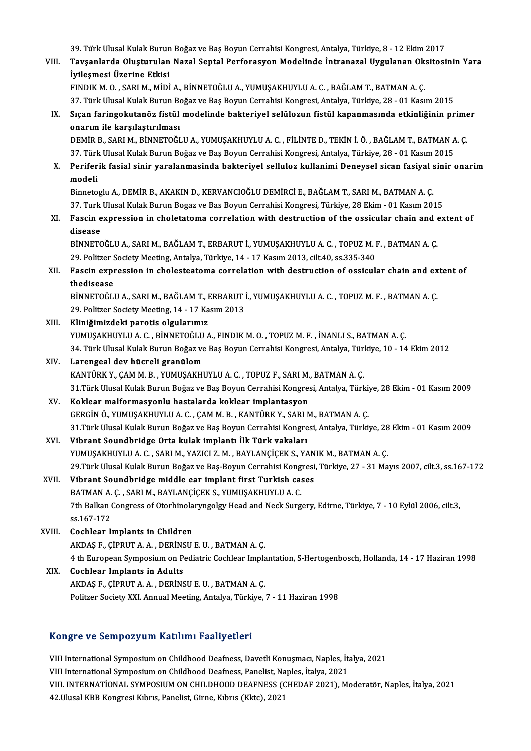39. Türk Ulusal Kulak Burun Boğaz ve Baş Boyun Cerrahisi Kongresi, Antalya, Türkiye, 8 - 12 Ekim 2017<br>Tavçanlarda Olustunulan Nagal Santal Barfanasyon Madalinda İntranagal Uygulanan Oksitesi

VIII. Tavşanlarda Oluşturulan Nazal Septal Perforasyon Modelinde İntranazal Uygulanan Oksitosinin Yara<br>İyilesmesi Üzerine Etkisi 39. Türk Ulusal Kulak Burun<br>Tavşanlarda Oluşturulan<br>İyileşmesi Üzerine Etkisi<br>EINDIK M.Q. SABLM, MİDİ

FINDIKM.O. ,SARIM.,MİDİA.,BİNNETOĞLUA.,YUMUŞAKHUYLUA.C. ,BAĞLAMT.,BATMANA.Ç. İyileşmesi Üzerine Etkisi<br>FINDIK M. O. , SARI M., MİDİ A., BİNNETOĞLU A., YUMUŞAKHUYLU A. C. , BAĞLAM T., BATMAN A. Ç.<br>37. Türk Ulusal Kulak Burun Boğaz ve Baş Boyun Cerrahisi Kongresi, Antalya, Türkiye, 28 - 01 Kasım 2015

IX. Sıçan faringokutanöz fistül modelinde bakteriyel selülozun fistül kapanmasında etkinliğinin primer<br>onarım ile karşılaştırılması 37. Türk Ulusal Kulak Burun Bo<br>Sıçan faringokutanöz fistül<br>onarım ile karşılaştırılması<br>DEMİP B. SARLM, RİNNETOČI

DEMİRB.,SARIM.,BİNNETOĞLUA.,YUMUŞAKHUYLUA.C. ,FİLİNTED.,TEKİNİ.Ö. ,BAĞLAMT.,BATMANA.Ç. onarım ile karşılaştırılması<br>DEMİR B., SARI M., BİNNETOĞLU A., YUMUŞAKHUYLU A. C. , FİLİNTE D., TEKİN İ. Ö. , BAĞLAM T., BATMAN A<br>37. Türk Ulusal Kulak Burun Boğaz ve Baş Boyun Cerrahisi Kongresi, Antalya, Türkiye, 28 - 01 DEMİR B., SARI M., BİNNETOĞLU A., YUMUŞAKHUYLU A. C. , FİLİNTE D., TEKİN İ. Ö. , BAĞLAM T., BATMAN A. Ç.<br>37. Türk Ulusal Kulak Burun Boğaz ve Baş Boyun Cerrahisi Kongresi, Antalya, Türkiye, 28 - 01 Kasım 2015<br>X. Perife

37 Tür<mark>l</mark><br>Perifer<br>modeli X. Periferik fasial sinir yaralanmasinda bakteriyel selluloz kullanimi Deneysel sican fasiyal sinir onarim<br>modeli<br>Binnetoglu A., DEMİR B., AKAKIN D., KERVANCIOĞLU DEMİRCİ E., BAĞLAM T., SARI M., BATMAN A. C.

37. Turk Ulusal Kulak Burun Bogaz ve Bas Boyun Cerrahisi Kongresi, Türkiye, 28 Ekim - 01 Kasım 2015 Binnetoglu A., DEMİR B., AKAKIN D., KERVANCIOĞLU DEMİRCİ E., BAĞLAM T., SARI M., BATMAN A. Ç.<br>37. Turk Ulusal Kulak Burun Bogaz ve Bas Boyun Cerrahisi Kongresi, Türkiye, 28 Ekim - 01 Kasım 2015<br>XI. Fascin expression in

37. Turk<br>Fascin e<br>disease<br>PinnETC Fascin expression in choletatoma correlation with destruction of the ossicular chain and existency disease<br>BİNNETOĞLU A., SARI M., BAĞLAM T., ERBARUT İ., YUMUŞAKHUYLU A. C. , TOPUZ M. F. , BATMAN A. Ç.<br>20 Bolitzer Seciety

disease<br>BİNNETOĞLU A., SARI M., BAĞLAM T., ERBARUT İ., YUMUŞAKHUYLU A. C. , TOPUZ M. I<br>29. Politzer Society Meeting, Antalya, Türkiye, 14 - 17 Kasım 2013, cilt.40, ss.335-340<br>Fessin expression in shelesteaterne serrelation BİNNETOĞLU A., SARI M., BAĞLAM T., ERBARUT İ., YUMUŞAKHUYLU A. C. , TOPUZ M. F. , BATMAN A. Ç.<br>29. Politzer Society Meeting, Antalya, Türkiye, 14 - 17 Kasım 2013, cilt.40, ss.335-340<br>XII. Fascin expression in cholestea

29. Politzer Society Meeting, Antalya, Türkiye, 14 - 17 Kasım 2013, cilt.40, ss.335-340<br>Fascin expression in cholesteatoma correlation with destruction of ossicular chain and extent of<br>thedisease Fascin expression in cholesteatoma correlation with destruction of ossicular chain and ex<br>thedisease<br>BİNNETOĞLU A., SARI M., BAĞLAM T., ERBARUT İ., YUMUŞAKHUYLU A. C. , TOPUZ M. F. , BATMAN A. Ç.<br>20 Bolitzer Sesisty Mestin

thedisease<br>BİNNETOĞLU A., SARI M., BAĞLAM T., ERBARUT İ<br>29. Politzer Society Meeting, 14 - 17 Kasım 2013<br>Kliniğimizdeki paratis olaylarımız BİNNETOĞLU A., SARI M., BAĞLAM T., I<br>29. Politzer Society Meeting, 14 - 17 Ka<br>XIII. Kliniğimizdeki parotis olgularımız<br>XIIMISAKHIIYI II A.C. RİNNETOĞLU A

29. Politzer Society Meeting, 14 - 17 Kasım 2013<br>Kliniğimizdeki parotis olgularımız<br>YUMUŞAKHUYLU A. C. , BİNNETOĞLU A., FINDIK M. O. , TOPUZ M. F. , İNANLI S., BATMAN A. Ç.<br>24. Türk Ulusal Kulak Purun Boğaz ve Bos Boyun Co Kliniğimizdeki parotis olgularımız<br>YUMUŞAKHUYLU A. C. , BİNNETOĞLU A., FINDIK M. O. , TOPUZ M. F. , İNANLI S., BATMAN A. Ç.<br>34. Türk Ulusal Kulak Burun Boğaz ve Baş Boyun Cerrahisi Kongresi, Antalya, Türkiye, 10 - 14 Ekim YUMUŞAKHUYLU A. C. , BİNNETOĞLU<br>34. Türk Ulusal Kulak Burun Boğaz ve<br>XIV. Larengeal dev hücreli granülom<br>5. KANTÜPK V. GAMM B. YUMUSAKUL

34. Türk Ulusal Kulak Burun Boğaz ve Baş Boyun Cerrahisi Kongresi, Antalya, Türk<br>**Larengeal dev hücreli granülom**<br>KANTÜRK Y., ÇAM M. B. , YUMUŞAKHUYLU A. C. , TOPUZ F., SARI M., BATMAN A. Ç.<br>21 Türk Ulusal Kulak Burun Boğa 31. XIV. — Larengeal dev hücreli granülom<br>KANTÜRK Y., ÇAM M. B. , YUMUŞAKHUYLU A. C. , TOPUZ F., SARI M., BATMAN A. Ç.<br>31.Türk Ulusal Kulak Burun Boğaz ve Baş Boyun Cerrahisi Kongresi, Antalya, Türkiye, 28 Ekim - 01 Kasım KANTÜRK Y., ÇAM M. B. , YUMUŞAKHUYLU A. C. , TOPUZ F., SARI M., BATMAN A. Ç.<br>31.Türk Ulusal Kulak Burun Boğaz ve Baş Boyun Cerrahisi Kongresi, Antalya, Türl<br>XV. Koklear malformasyonlu hastalarda koklear implantasyon

31.Türk Ulusal Kulak Burun Boğaz ve Baş Boyun Cerrahisi Kongresi, Antalya, Türki<br><mark>Koklear malformasyonlu hastalarda koklear implantasyon</mark><br>GERGİN Ö., YUMUŞAKHUYLU A. C. , ÇAM M. B. , KANTÜRK Y., SARI M., BATMAN A. Ç.<br>21.Tür 31.Türk Ulusal Kulak Burun Boğaz ve Baş Boyun Cerrahisi Kongresi, Antalya, Türkiye, 28 Ekim - 01 Kasım 2009<br>Vibrant Soundbridge Orta kulak implantı İlk Türk vakaları GERGİN Ö., YUMUŞAKHUYLU A. C. , ÇAM M. B. , KANTÜRK Y., SARI I<br>31.Türk Ulusal Kulak Burun Boğaz ve Baş Boyun Cerrahisi Kongre<br>XVI. Vibrant Soundbridge Orta kulak implantı İlk Türk vakaları<br>XVI. VIMUSAKULVI ILA G. S

- YUMUŞAKHUYLU A.C., SARI M., YAZICI Z.M., BAYLANÇİÇEK S., YANIK M., BATMAN A.Ç. 29.Türk Ulusal Kulak Burun Boğaz ve Baş-Boyun Cerrahisi Kongresi, Türkiye, 27 - 31 Mayıs 2007, cilt.3, ss.167-172
- XVII. Vibrant Soundbridge middle ear implant first Turkish cases 29.Türk Ulusal Kulak Burun Boğaz ve Baş-Boyun Cerrahisi Kong<br>Vibrant Soundbridge middle ear implant first Turkish ca:<br>BATMAN A. Ç. , SARI M., BAYLANÇİÇEK S., YUMUŞAKHUYLU A. C.<br><sup>7th Ballran Congress of Oterhinglarıngoları </sup> 7th Balkan Congress of Otorhinolaryngolgy Head and Neck Surgery, Edirne, Türkiye, 7 - 10 Eylül 2006, cilt.3, ss.167-172 BATMAN A.<br>7th Balkan (<br>ss.167-172<br>Cochloar L
- XVIII. Cochlear Implants in Children ss.167-172<br>Cochlear Implants in Children<br>AKDAŞ F., ÇİPRUT A. A. , DERİNSU E. U. , BATMAN A. Ç.<br>4 th European Sumnesium en Bediatric Ceshlear Imple Cochlear Implants in Children<br>AKDAŞ F., ÇİPRUT A. A. , DERİNSU E. U. , BATMAN A. Ç.<br>4 th European Symposium on Pediatric Cochlear Implantation, S-Hertogenbosch, Hollanda, 14 - 17 Haziran 1998<br>Coshlear Implants in Adults AKDAŞ F., ÇİPRUT A. A., DERİNS<br>4 th European Symposium on P.<br>XIX. Cochlear Implants in Adults
- 4 th European Symposium on Pediatric Cochlear Impla<br>Cochlear Implants in Adults<br>AKDAŞ F., ÇİPRUT A.A. , DERİNSU E.U. , BATMAN A. Ç.<br>Pelitrer Society YVL Annual Meeting Antalya Türkiye Cochlear Implants in Adults<br>AKDAŞ F., ÇİPRUT A. A. , DERİNSU E. U. , BATMAN A. Ç.<br>Politzer Society XXI. Annual Meeting, Antalya, Türkiye, 7 - 11 Haziran 1998

### Kongre ve SempozyumKatılımı Faaliyetleri

VIII International Symposium on Childhood Deafness, Davetli Konuşmacı, Naples, İtalya, 2021 YONG COURDOLY UN NUCHAMA YULIY CUCTI<br>VIII International Symposium on Childhood Deafness, Davetli Konuşmacı, Naples, İta<br>VIII INTERNATIONAL SYMPOSIUM ON CULLDHOOD DEAENESS (CUEDAE 2021), MA VIII. INTERNATIONAL SYMPOSIUM ON CHILDHOOD DEAFNESS (CHEDAF 2021), Moderatör, Naples, İtalya, 2021<br>42.Ulusal KBB Kongresi Kıbrıs, Panelist, Girne, Kıbrıs (Kktc), 2021 VIII International Symposium on Childhood Deafness, Panelist, Na<br>VIII. INTERNATİONAL SYMPOSIUM ON CHILDHOOD DEAFNESS (C<br>42.Ulusal KBB Kongresi Kıbrıs, Panelist, Girne, Kıbrıs (Kktc), 2021